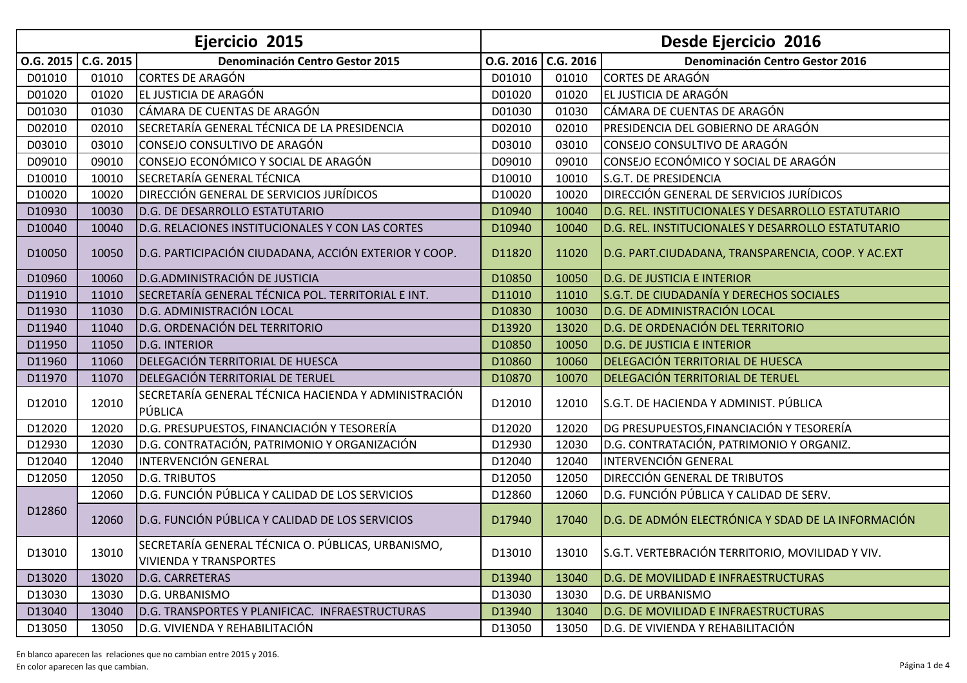| Ejercicio 2015 |                      |                                                                                     | <b>Desde Ejercicio 2016</b> |           |                                                    |
|----------------|----------------------|-------------------------------------------------------------------------------------|-----------------------------|-----------|----------------------------------------------------|
|                | $0.6.2015$ C.G. 2015 | <b>Denominación Centro Gestor 2015</b>                                              | O.G. 2016                   | C.G. 2016 | <b>Denominación Centro Gestor 2016</b>             |
| D01010         | 01010                | <b>CORTES DE ARAGÓN</b>                                                             | D01010                      | 01010     | <b>CORTES DE ARAGÓN</b>                            |
| D01020         | 01020                | EL JUSTICIA DE ARAGÓN                                                               | D01020                      | 01020     | EL JUSTICIA DE ARAGÓN                              |
| D01030         | 01030                | CÁMARA DE CUENTAS DE ARAGÓN                                                         | D01030                      | 01030     | CÁMARA DE CUENTAS DE ARAGÓN                        |
| D02010         | 02010                | SECRETARÍA GENERAL TÉCNICA DE LA PRESIDENCIA                                        | D02010                      | 02010     | PRESIDENCIA DEL GOBIERNO DE ARAGÓN                 |
| D03010         | 03010                | CONSEJO CONSULTIVO DE ARAGÓN                                                        | D03010                      | 03010     | CONSEJO CONSULTIVO DE ARAGÓN                       |
| D09010         | 09010                | CONSEJO ECONÓMICO Y SOCIAL DE ARAGÓN                                                | D09010                      | 09010     | CONSEJO ECONÓMICO Y SOCIAL DE ARAGÓN               |
| D10010         | 10010                | SECRETARÍA GENERAL TÉCNICA                                                          | D10010                      | 10010     | S.G.T. DE PRESIDENCIA                              |
| D10020         | 10020                | DIRECCIÓN GENERAL DE SERVICIOS JURÍDICOS                                            | D10020                      | 10020     | DIRECCIÓN GENERAL DE SERVICIOS JURÍDICOS           |
| D10930         | 10030                | D.G. DE DESARROLLO ESTATUTARIO                                                      | D10940                      | 10040     | D.G. REL. INSTITUCIONALES Y DESARROLLO ESTATUTARIO |
| D10040         | 10040                | D.G. RELACIONES INSTITUCIONALES Y CON LAS CORTES                                    | D10940                      | 10040     | D.G. REL. INSTITUCIONALES Y DESARROLLO ESTATUTARIO |
| D10050         | 10050                | D.G. PARTICIPACIÓN CIUDADANA, ACCIÓN EXTERIOR Y COOP.                               | D11820                      | 11020     | D.G. PART.CIUDADANA, TRANSPARENCIA, COOP. Y AC.EXT |
| D10960         | 10060                | <b>D.G.ADMINISTRACIÓN DE JUSTICIA</b>                                               | D10850                      | 10050     | <b>D.G. DE JUSTICIA E INTERIOR</b>                 |
| D11910         | 11010                | SECRETARÍA GENERAL TÉCNICA POL. TERRITORIAL E INT.                                  | D11010                      | 11010     | S.G.T. DE CIUDADANÍA Y DERECHOS SOCIALES           |
| D11930         | 11030                | D.G. ADMINISTRACIÓN LOCAL                                                           | D10830                      | 10030     | D.G. DE ADMINISTRACIÓN LOCAL                       |
| D11940         | 11040                | D.G. ORDENACIÓN DEL TERRITORIO                                                      | D13920                      | 13020     | D.G. DE ORDENACIÓN DEL TERRITORIO                  |
| D11950         | 11050                | D.G. INTERIOR                                                                       | D10850                      | 10050     | <b>D.G. DE JUSTICIA E INTERIOR</b>                 |
| D11960         | 11060                | DELEGACIÓN TERRITORIAL DE HUESCA                                                    | D10860                      | 10060     | DELEGACIÓN TERRITORIAL DE HUESCA                   |
| D11970         | 11070                | DELEGACIÓN TERRITORIAL DE TERUEL                                                    | D10870                      | 10070     | DELEGACIÓN TERRITORIAL DE TERUEL                   |
| D12010         | 12010                | SECRETARÍA GENERAL TÉCNICA HACIENDA Y ADMINISTRACIÓN<br>PÚBLICA                     | D12010                      | 12010     | S.G.T. DE HACIENDA Y ADMINIST. PÚBLICA             |
| D12020         | 12020                | D.G. PRESUPUESTOS, FINANCIACIÓN Y TESORERÍA                                         | D12020                      | 12020     | DG PRESUPUESTOS, FINANCIACIÓN Y TESORERÍA          |
| D12930         | 12030                | D.G. CONTRATACIÓN, PATRIMONIO Y ORGANIZACIÓN                                        | D12930                      | 12030     | D.G. CONTRATACIÓN, PATRIMONIO Y ORGANIZ.           |
| D12040         | 12040                | INTERVENCIÓN GENERAL                                                                | D12040                      | 12040     | <b>INTERVENCIÓN GENERAL</b>                        |
| D12050         | 12050                | <b>D.G. TRIBUTOS</b>                                                                | D12050                      | 12050     | DIRECCIÓN GENERAL DE TRIBUTOS                      |
|                | 12060                | D.G. FUNCIÓN PÚBLICA Y CALIDAD DE LOS SERVICIOS                                     | D12860                      | 12060     | D.G. FUNCIÓN PÚBLICA Y CALIDAD DE SERV.            |
| D12860         | 12060                | D.G. FUNCIÓN PÚBLICA Y CALIDAD DE LOS SERVICIOS                                     | D17940                      | 17040     | D.G. DE ADMÓN ELECTRÓNICA Y SDAD DE LA INFORMACIÓN |
| D13010         | 13010                | SECRETARÍA GENERAL TÉCNICA O. PÚBLICAS, URBANISMO,<br><b>VIVIENDA Y TRANSPORTES</b> | D13010                      | 13010     | S.G.T. VERTEBRACIÓN TERRITORIO, MOVILIDAD Y VIV.   |
| D13020         | 13020                | <b>D.G. CARRETERAS</b>                                                              | D13940                      | 13040     | D.G. DE MOVILIDAD E INFRAESTRUCTURAS               |
| D13030         | 13030                | D.G. URBANISMO                                                                      | D13030                      | 13030     | <b>D.G. DE URBANISMO</b>                           |
| D13040         | 13040                | D.G. TRANSPORTES Y PLANIFICAC. INFRAESTRUCTURAS                                     | D13940                      | 13040     | <b>D.G. DE MOVILIDAD E INFRAESTRUCTURAS</b>        |
| D13050         | 13050                | D.G. VIVIENDA Y REHABILITACIÓN                                                      | D13050                      | 13050     | D.G. DE VIVIENDA Y REHABILITACIÓN                  |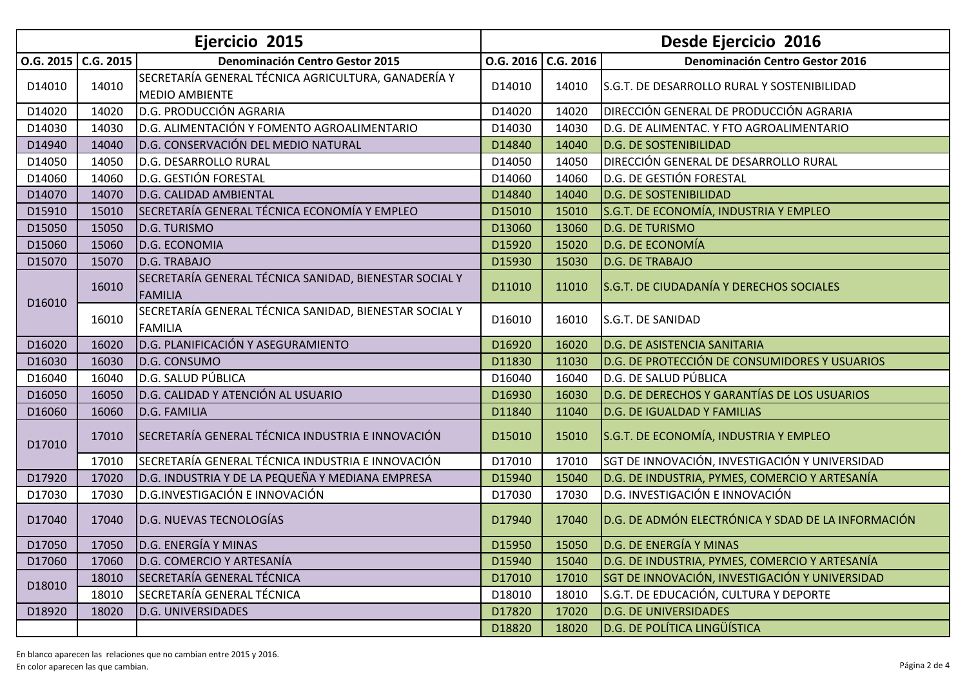| Ejercicio 2015        |       |                                                        | Desde Ejercicio 2016 |       |                                                    |
|-----------------------|-------|--------------------------------------------------------|----------------------|-------|----------------------------------------------------|
| $0.6.2015$ $C.G.2015$ |       | <b>Denominación Centro Gestor 2015</b>                 | $0.6.2016$ C.G. 2016 |       | <b>Denominación Centro Gestor 2016</b>             |
| D14010                | 14010 | SECRETARÍA GENERAL TÉCNICA AGRICULTURA, GANADERÍA Y    | D14010               | 14010 | S.G.T. DE DESARROLLO RURAL Y SOSTENIBILIDAD        |
|                       |       | <b>MEDIO AMBIENTE</b>                                  |                      |       |                                                    |
| D14020                | 14020 | D.G. PRODUCCIÓN AGRARIA                                | D14020               | 14020 | DIRECCIÓN GENERAL DE PRODUCCIÓN AGRARIA            |
| D14030                | 14030 | D.G. ALIMENTACIÓN Y FOMENTO AGROALIMENTARIO            | D14030               | 14030 | D.G. DE ALIMENTAC. Y FTO AGROALIMENTARIO           |
| D14940                | 14040 | D.G. CONSERVACIÓN DEL MEDIO NATURAL                    | D14840               | 14040 | <b>D.G. DE SOSTENIBILIDAD</b>                      |
| D14050                | 14050 | D.G. DESARROLLO RURAL                                  | D14050               | 14050 | DIRECCIÓN GENERAL DE DESARROLLO RURAL              |
| D14060                | 14060 | D.G. GESTIÓN FORESTAL                                  | D14060               | 14060 | D.G. DE GESTIÓN FORESTAL                           |
| D14070                | 14070 | D.G. CALIDAD AMBIENTAL                                 | D14840               | 14040 | <b>D.G. DE SOSTENIBILIDAD</b>                      |
| D15910                | 15010 | SECRETARÍA GENERAL TÉCNICA ECONOMÍA Y EMPLEO           | D15010               | 15010 | S.G.T. DE ECONOMÍA, INDUSTRIA Y EMPLEO             |
| D15050                | 15050 | D.G. TURISMO                                           | D13060               | 13060 | D.G. DE TURISMO                                    |
| D15060                | 15060 | <b>D.G. ECONOMIA</b>                                   | D15920               | 15020 | D.G. DE ECONOMÍA                                   |
| D15070                | 15070 | D.G. TRABAJO                                           | D15930               | 15030 | D.G. DE TRABAJO                                    |
|                       | 16010 | SECRETARÍA GENERAL TÉCNICA SANIDAD, BIENESTAR SOCIAL Y | D11010               | 11010 | S.G.T. DE CIUDADANÍA Y DERECHOS SOCIALES           |
| D16010                |       | <b>FAMILIA</b>                                         |                      |       |                                                    |
|                       | 16010 | SECRETARÍA GENERAL TÉCNICA SANIDAD, BIENESTAR SOCIAL Y | D16010               | 16010 | S.G.T. DE SANIDAD                                  |
|                       |       | <b>FAMILIA</b>                                         |                      |       |                                                    |
| D16020                | 16020 | D.G. PLANIFICACIÓN Y ASEGURAMIENTO                     | D16920               | 16020 | <b>D.G. DE ASISTENCIA SANITARIA</b>                |
| D16030                | 16030 | D.G. CONSUMO                                           | D11830               | 11030 | D.G. DE PROTECCIÓN DE CONSUMIDORES Y USUARIOS      |
| D16040                | 16040 | D.G. SALUD PÚBLICA                                     | D16040               | 16040 | D.G. DE SALUD PÚBLICA                              |
| D16050                | 16050 | D.G. CALIDAD Y ATENCIÓN AL USUARIO                     | D16930               | 16030 | D.G. DE DERECHOS Y GARANTÍAS DE LOS USUARIOS       |
| D16060                | 16060 | D.G. FAMILIA                                           | D11840               | 11040 | <b>D.G. DE IGUALDAD Y FAMILIAS</b>                 |
| D17010                | 17010 | SECRETARÍA GENERAL TÉCNICA INDUSTRIA E INNOVACIÓN      | D15010               | 15010 | S.G.T. DE ECONOMÍA, INDUSTRIA Y EMPLEO             |
|                       | 17010 | SECRETARÍA GENERAL TÉCNICA INDUSTRIA E INNOVACIÓN      | D17010               | 17010 | SGT DE INNOVACIÓN, INVESTIGACIÓN Y UNIVERSIDAD     |
| D17920                | 17020 | D.G. INDUSTRIA Y DE LA PEQUEÑA Y MEDIANA EMPRESA       | D15940               | 15040 | D.G. DE INDUSTRIA, PYMES, COMERCIO Y ARTESANÍA     |
| D17030                | 17030 | D.G.INVESTIGACIÓN E INNOVACIÓN                         | D17030               | 17030 | D.G. INVESTIGACIÓN E INNOVACIÓN                    |
| D17040                | 17040 | D.G. NUEVAS TECNOLOGÍAS                                | D17940               | 17040 | D.G. DE ADMÓN ELECTRÓNICA Y SDAD DE LA INFORMACIÓN |
| D17050                |       | 17050 D.G. ENERGÍA Y MINAS                             | D15950               |       | 15050 D.G. DE ENERGÍA Y MINAS                      |
| D17060                | 17060 | D.G. COMERCIO Y ARTESANÍA                              | D15940               | 15040 | D.G. DE INDUSTRIA, PYMES, COMERCIO Y ARTESANÍA     |
| D18010                | 18010 | SECRETARÍA GENERAL TÉCNICA                             | D17010               | 17010 | SGT DE INNOVACIÓN, INVESTIGACIÓN Y UNIVERSIDAD     |
|                       | 18010 | SECRETARÍA GENERAL TÉCNICA                             | D18010               | 18010 | S.G.T. DE EDUCACIÓN, CULTURA Y DEPORTE             |
| D18920                | 18020 | <b>D.G. UNIVERSIDADES</b>                              | D17820               | 17020 | <b>D.G. DE UNIVERSIDADES</b>                       |
|                       |       |                                                        | D18820               | 18020 | <b>D.G. DE POLÍTICA LINGÜÍSTICA</b>                |

En blanco aparecen las relaciones que no cambian entre 2015 y 2016.Página 2 de 4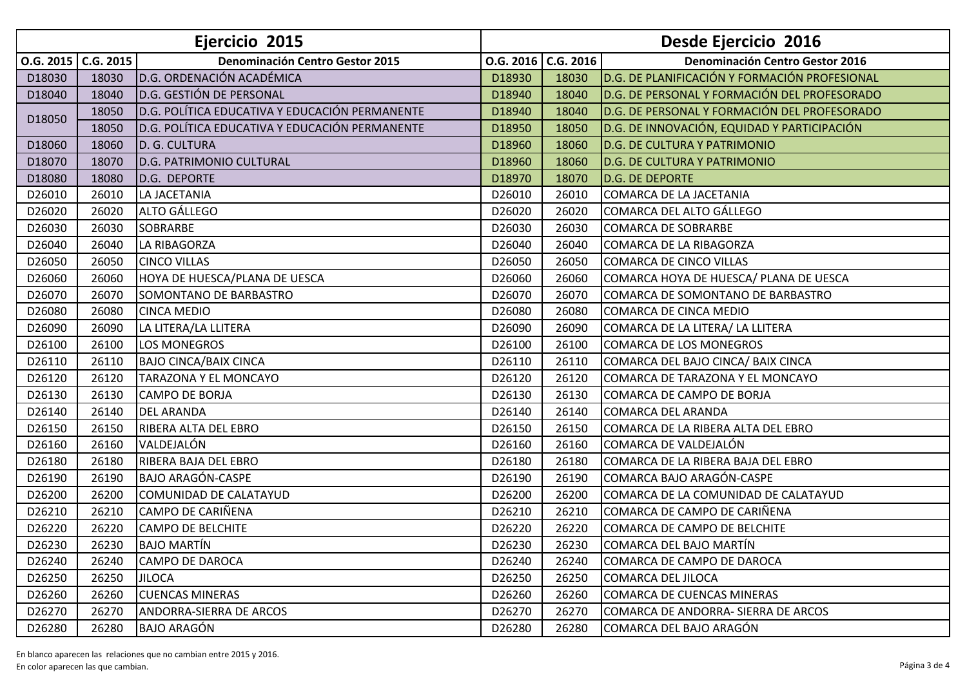| Ejercicio 2015        |       |                                                | <b>Desde Ejercicio 2016</b> |       |                                               |
|-----------------------|-------|------------------------------------------------|-----------------------------|-------|-----------------------------------------------|
| $0.6.2015$ $C.G.2015$ |       | <b>Denominación Centro Gestor 2015</b>         | O.G. 2016   C.G. 2016       |       | <b>Denominación Centro Gestor 2016</b>        |
| D18030                | 18030 | D.G. ORDENACIÓN ACADÉMICA                      | D18930                      | 18030 | D.G. DE PLANIFICACIÓN Y FORMACIÓN PROFESIONAL |
| D18040                | 18040 | D.G. GESTIÓN DE PERSONAL                       | D18940                      | 18040 | D.G. DE PERSONAL Y FORMACIÓN DEL PROFESORADO  |
| D18050                | 18050 | D.G. POLÍTICA EDUCATIVA Y EDUCACIÓN PERMANENTE | D18940                      | 18040 | D.G. DE PERSONAL Y FORMACIÓN DEL PROFESORADO  |
|                       | 18050 | D.G. POLÍTICA EDUCATIVA Y EDUCACIÓN PERMANENTE | D18950                      | 18050 | D.G. DE INNOVACIÓN, EQUIDAD Y PARTICIPACIÓN   |
| D18060                | 18060 | D. G. CULTURA                                  | D18960                      | 18060 | <b>D.G. DE CULTURA Y PATRIMONIO</b>           |
| D18070                | 18070 | D.G. PATRIMONIO CULTURAL                       | D18960                      | 18060 | <b>D.G. DE CULTURA Y PATRIMONIO</b>           |
| D18080                | 18080 | D.G. DEPORTE                                   | D18970                      | 18070 | <b>D.G. DE DEPORTE</b>                        |
| D26010                | 26010 | LA JACETANIA                                   | D26010                      | 26010 | <b>COMARCA DE LA JACETANIA</b>                |
| D26020                | 26020 | ALTO GÁLLEGO                                   | D26020                      | 26020 | <b>COMARCA DEL ALTO GÁLLEGO</b>               |
| D26030                | 26030 | <b>SOBRARBE</b>                                | D26030                      | 26030 | <b>COMARCA DE SOBRARBE</b>                    |
| D26040                | 26040 | <b>LA RIBAGORZA</b>                            | D26040                      | 26040 | <b>COMARCA DE LA RIBAGORZA</b>                |
| D26050                | 26050 | <b>CINCO VILLAS</b>                            | D26050                      | 26050 | COMARCA DE CINCO VILLAS                       |
| D26060                | 26060 | HOYA DE HUESCA/PLANA DE UESCA                  | D26060                      | 26060 | COMARCA HOYA DE HUESCA/ PLANA DE UESCA        |
| D26070                | 26070 | SOMONTANO DE BARBASTRO                         | D26070                      | 26070 | COMARCA DE SOMONTANO DE BARBASTRO             |
| D26080                | 26080 | <b>CINCA MEDIO</b>                             | D26080                      | 26080 | <b>COMARCA DE CINCA MEDIO</b>                 |
| D26090                | 26090 | LA LITERA/LA LLITERA                           | D26090                      | 26090 | COMARCA DE LA LITERA/ LA LLITERA              |
| D26100                | 26100 | <b>LOS MONEGROS</b>                            | D26100                      | 26100 | COMARCA DE LOS MONEGROS                       |
| D26110                | 26110 | <b>BAJO CINCA/BAIX CINCA</b>                   | D26110                      | 26110 | COMARCA DEL BAJO CINCA/ BAIX CINCA            |
| D26120                | 26120 | TARAZONA Y EL MONCAYO                          | D26120                      | 26120 | COMARCA DE TARAZONA Y EL MONCAYO              |
| D26130                | 26130 | <b>CAMPO DE BORJA</b>                          | D26130                      | 26130 | COMARCA DE CAMPO DE BORJA                     |
| D26140                | 26140 | <b>DEL ARANDA</b>                              | D26140                      | 26140 | <b>COMARCA DEL ARANDA</b>                     |
| D26150                | 26150 | RIBERA ALTA DEL EBRO                           | D26150                      | 26150 | COMARCA DE LA RIBERA ALTA DEL EBRO            |
| D26160                | 26160 | VALDEJALÓN                                     | D26160                      | 26160 | COMARCA DE VALDEJALÓN                         |
| D26180                | 26180 | RIBERA BAJA DEL EBRO                           | D26180                      | 26180 | COMARCA DE LA RIBERA BAJA DEL EBRO            |
| D26190                | 26190 | <b>BAJO ARAGÓN-CASPE</b>                       | D26190                      | 26190 | COMARCA BAJO ARAGÓN-CASPE                     |
| D26200                | 26200 | COMUNIDAD DE CALATAYUD                         | D26200                      | 26200 | COMARCA DE LA COMUNIDAD DE CALATAYUD          |
| D26210                | 26210 | <b>CAMPO DE CARIÑENA</b>                       | D26210                      | 26210 | COMARCA DE CAMPO DE CARIÑENA                  |
| D26220                | 26220 | <b>CAMPO DE BELCHITE</b>                       | D26220                      | 26220 | COMARCA DE CAMPO DE BELCHITE                  |
| D26230                | 26230 | <b>BAJO MARTÍN</b>                             | D26230                      | 26230 | COMARCA DEL BAJO MARTÍN                       |
| D26240                | 26240 | <b>CAMPO DE DAROCA</b>                         | D26240                      | 26240 | COMARCA DE CAMPO DE DAROCA                    |
| D26250                | 26250 | <b>JILOCA</b>                                  | D26250                      | 26250 | COMARCA DEL JILOCA                            |
| D26260                | 26260 | <b>CUENCAS MINERAS</b>                         | D26260                      | 26260 | <b>COMARCA DE CUENCAS MINERAS</b>             |
| D26270                | 26270 | ANDORRA-SIERRA DE ARCOS                        | D26270                      | 26270 | COMARCA DE ANDORRA- SIERRA DE ARCOS           |
| D26280                | 26280 | <b>BAJO ARAGÓN</b>                             | D26280                      | 26280 | COMARCA DEL BAJO ARAGÓN                       |